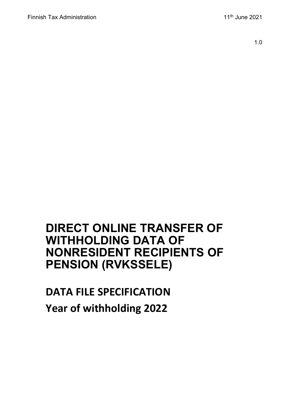1.0

## **DIRECT ONLINE TRANSFER OF WITHHOLDING DATA OF NONRESIDENT RECIPIENTS OF PENSION (RVKSSELE)**

# **DATA FILE SPECIFICATION Year of withholding 2022**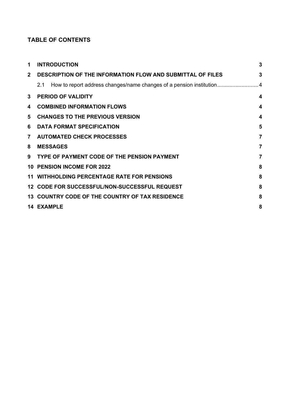### **TABLE OF CONTENTS**

| 1              | <b>INTRODUCTION</b>                                               | 3                       |
|----------------|-------------------------------------------------------------------|-------------------------|
| $\mathbf{2}$   | <b>DESCRIPTION OF THE INFORMATION FLOW AND SUBMITTAL OF FILES</b> | 3                       |
|                | 2.1                                                               |                         |
| $\mathbf{3}$   | <b>PERIOD OF VALIDITY</b>                                         | 4                       |
| 4              | <b>COMBINED INFORMATION FLOWS</b>                                 | $\overline{\mathbf{4}}$ |
| 5              | <b>CHANGES TO THE PREVIOUS VERSION</b>                            | $\overline{\mathbf{4}}$ |
| 6              | <b>DATA FORMAT SPECIFICATION</b>                                  | 5                       |
| $\overline{7}$ | <b>AUTOMATED CHECK PROCESSES</b>                                  | $\overline{7}$          |
| 8              | <b>MESSAGES</b>                                                   | $\overline{7}$          |
| 9              | TYPE OF PAYMENT CODE OF THE PENSION PAYMENT                       | 7                       |
|                | <b>10 PENSION INCOME FOR 2022</b>                                 | 8                       |
|                | <b>11 WITHHOLDING PERCENTAGE RATE FOR PENSIONS</b>                | 8                       |
|                | 12 CODE FOR SUCCESSFUL/NON-SUCCESSFUL REQUEST                     | 8                       |
|                | 13 COUNTRY CODE OF THE COUNTRY OF TAX RESIDENCE                   | 8                       |
|                | <b>14 EXAMPLE</b>                                                 | 8                       |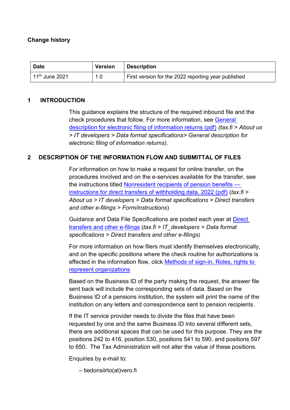### **Change history**

| <b>Date</b>                        | <b>Version</b> | Description                                         |
|------------------------------------|----------------|-----------------------------------------------------|
| $\,$ 11 $^{\rm th}$ June 2021 $\,$ | 1.0            | First version for the 2022 reporting year published |

### <span id="page-2-0"></span>**1 INTRODUCTION**

This guidance explains the structure of the required inbound file and the check procedures that follow. For more information, see [General](https://www.vero.fi/contentassets/38c6e70f10b342cdba4716e904c3edbf/sahkoisen-ilmoittamisen-yleiskuvaus_6.4versio_engl.pdf)  [description for electronic filing of information returns \(pdf\)](https://www.vero.fi/contentassets/38c6e70f10b342cdba4716e904c3edbf/sahkoisen-ilmoittamisen-yleiskuvaus_6.4versio_engl.pdf) *(tax.fi > About us > IT developers > Data format specifications> General description for electronic filing of information returns)*.

### <span id="page-2-1"></span>**2 DESCRIPTION OF THE INFORMATION FLOW AND SUBMITTAL OF FILES**

For information on how to make a request for online transfer, on the procedures involved and on the e-services available for the transfer, see the instructions titled [Nonresident recipients of pension benefits](https://www.vero.fi/contentassets/4be5ede7345a4b32a394d7a230ae807c/finnish-tax-administration-nonresident-recipients-of-pension-benefits--instructions-for-direct-transfers-of-withholding-data-prepayment-year-2022.pdf)  [instructions for direct transfers of withholding data, 2022 \(pdf\)](https://www.vero.fi/contentassets/4be5ede7345a4b32a394d7a230ae807c/finnish-tax-administration-nonresident-recipients-of-pension-benefits--instructions-for-direct-transfers-of-withholding-data-prepayment-year-2022.pdf) (*tax.fi > About us > IT developers > Data format specifications > Direct transfers and other e-filings > Form/instructions*)

Guidance and Data File Specifications are posted each year at [Direct](https://www.vero.fi/en/About-us/it_developer/data-format-specifications/specifications__direct_data_transfers_a/)  [transfers and other e-filings](https://www.vero.fi/en/About-us/it_developer/data-format-specifications/specifications__direct_data_transfers_a/) (*tax.fi > IT\_developers > Data format specifications > [Direct transfers and other e-filings](https://www.vero.fi/en/About-us/it_developer/data-format-specifications/specifications__direct_data_transfers_a/))*

For more information on how filers must identify themselves electronically, and on the specific positions where the check routine for authorizations is effected in the information flow, click [Methods of sign-in, Roles, rights to](https://www.ilmoitin.fi/webtamo/sivut/IlmoituslajiRoolit?kieli=en&tv=RVKSSELE)  [represent organizations](https://www.ilmoitin.fi/webtamo/sivut/IlmoituslajiRoolit?kieli=en&tv=RVKSSELE)

Based on the Business ID of the party making the request, the answer file sent back will include the corresponding sets of data. Based on the Business ID of a pensions institution, the system will print the name of the institution on any letters and correspondence sent to pension recipients.

If the IT service provider needs to divide the files that have been requested by one and the same Business ID into several different sets, there are additional spaces that can be used for this purpose. They are the positions 242 to 416, position 530, positions 541 to 590, and positions 597 to 650. The Tax Administration will not alter the value of these positions.

Enquiries by e-mail to:

– tiedonsiirto(at)vero.fi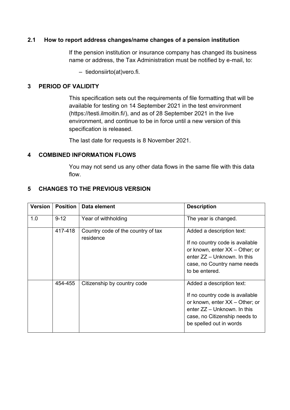### <span id="page-3-0"></span>**2.1 How to report address changes/name changes of a pension institution**

If the pension institution or insurance company has changed its business name or address, the Tax Administration must be notified by e-mail, to:

– tiedonsiirto(at)vero.fi.

### <span id="page-3-1"></span>**3 PERIOD OF VALIDITY**

This specification sets out the requirements of file formatting that will be available for testing on 14 September 2021 in the test environment (https://testi.ilmoitin.fi/), and as of 28 September 2021 in the live environment, and continue to be in force until a new version of this specification is released.

The last date for requests is 8 November 2021.

#### <span id="page-3-2"></span>**4 COMBINED INFORMATION FLOWS**

You may not send us any other data flows in the same file with this data flow.

### <span id="page-3-3"></span>**5 CHANGES TO THE PREVIOUS VERSION**

| <b>Version</b> | <b>Position</b> | Data element                                    | <b>Description</b>                                                                                                                                                                          |
|----------------|-----------------|-------------------------------------------------|---------------------------------------------------------------------------------------------------------------------------------------------------------------------------------------------|
| 1.0            | $9 - 12$        | Year of withholding                             | The year is changed.                                                                                                                                                                        |
|                | 417-418         | Country code of the country of tax<br>residence | Added a description text:<br>If no country code is available<br>or known, enter XX - Other; or<br>enter ZZ - Unknown. In this<br>case, no Country name needs<br>to be entered.              |
|                | 454-455         | Citizenship by country code                     | Added a description text:<br>If no country code is available<br>or known, enter XX - Other; or<br>enter $ZZ -$ Unknown. In this<br>case, no Citizenship needs to<br>be spelled out in words |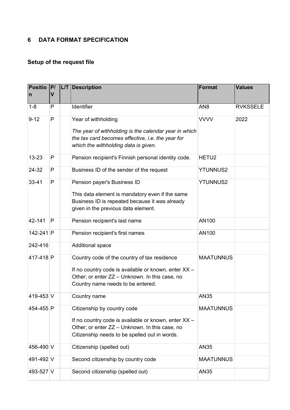### <span id="page-4-0"></span>**6 DATA FORMAT SPECIFICATION**

### **Setup of the request file**

| <b>Positio</b><br>$\mathsf{n}$ | P <br>$\mathbf v$ | <b>LT</b> | <b>Description</b>                                                                                                                                                                          | <b>Format</b>    | <b>Values</b>   |
|--------------------------------|-------------------|-----------|---------------------------------------------------------------------------------------------------------------------------------------------------------------------------------------------|------------------|-----------------|
| $1 - 8$                        | P                 |           | Identifier                                                                                                                                                                                  | AN <sub>8</sub>  | <b>RVKSSELE</b> |
| $9 - 12$                       | P                 |           | Year of withholding<br>The year of withholding is the calendar year in which<br>the tax card becomes effective, i.e. the year for<br>which the withholding data is given.                   | <b>VVVV</b>      | 2022            |
| $13 - 23$                      | P                 |           | Pension recipient's Finnish personal identity code.                                                                                                                                         | HETU2            |                 |
| 24-32                          | P                 |           | Business ID of the sender of the request                                                                                                                                                    | <b>YTUNNUS2</b>  |                 |
| 33-41                          | P                 |           | Pension payer's Business ID<br>This data element is mandatory even if the same<br>Business ID is repeated because it was already<br>given in the previous data element.                     | <b>YTUNNUS2</b>  |                 |
| 42-141                         | P                 |           | Pension recipient's last name                                                                                                                                                               | AN100            |                 |
| 142-241 P                      |                   |           | Pension recipient's first names                                                                                                                                                             | AN100            |                 |
| 242-416                        |                   |           | Additional space                                                                                                                                                                            |                  |                 |
| 417-418 P                      |                   |           | Country code of the country of tax residence<br>If no country code is available or known, enter XX -<br>Other; or enter ZZ - Unknown. In this case, no<br>Country name needs to be entered. | <b>MAATUNNUS</b> |                 |
| 419-453 V                      |                   |           | Country name                                                                                                                                                                                | AN35             |                 |
| 454-455 P                      |                   |           | Citizenship by country code<br>If no country code is available or known, enter XX -<br>Other; or enter ZZ - Unknown. In this case, no<br>Citizenship needs to be spelled out in words.      | <b>MAATUNNUS</b> |                 |
| 456-490 V                      |                   |           | Citizenship (spelled out)                                                                                                                                                                   | AN35             |                 |
| 491-492 V                      |                   |           | Second citizenship by country code                                                                                                                                                          | <b>MAATUNNUS</b> |                 |
| 493-527 V                      |                   |           | Second citizenship (spelled out)                                                                                                                                                            | AN35             |                 |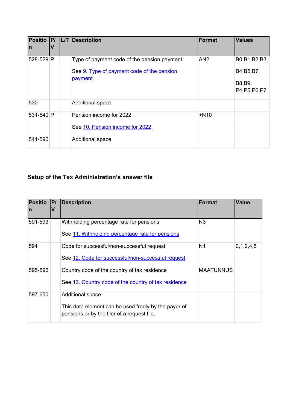| Positio P/<br>In | L/T | Description                                                                                          | <b>Format</b> | <b>Values</b>                                               |
|------------------|-----|------------------------------------------------------------------------------------------------------|---------------|-------------------------------------------------------------|
| 528-529 P        |     | Type of payment code of the pension payment<br>See 9. Type of payment code of the pension<br>payment | AN2           | B0, B1, B2, B3,<br>B4, B5, B7,<br>B8, B9,<br>P4, P5, P6, P7 |
| 530              |     | <b>Additional space</b>                                                                              |               |                                                             |
| 531-540 P        |     | Pension income for 2022<br>See 10. Pension income for 2022                                           | $+N10$        |                                                             |
| 541-590          |     | <b>Additional space</b>                                                                              |               |                                                             |

### **Setup of the Tax Administration's answer file**

| <b>Positio</b><br>$\mathsf{I}$ | P/<br>V | <b>Description</b>                                                                                                      | <b>Format</b>  | <b>Value</b>  |
|--------------------------------|---------|-------------------------------------------------------------------------------------------------------------------------|----------------|---------------|
| 591-593                        |         | Withholding percentage rate for pensions<br>See 11. Withholding percentage rate for pensions                            | N3             |               |
| 594                            |         | Code for successful/non-successful request<br>See 12. Code for successful/non-successful request                        | N <sub>1</sub> | 0, 1, 2, 4, 5 |
| 595-596                        |         | Country code of the country of tax residence<br>See 13. Country code of the country of tax residence                    | MAATUNNUS      |               |
| 597-650                        |         | Additional space<br>This data element can be used freely by the payer of<br>pensions or by the filer of a request file. |                |               |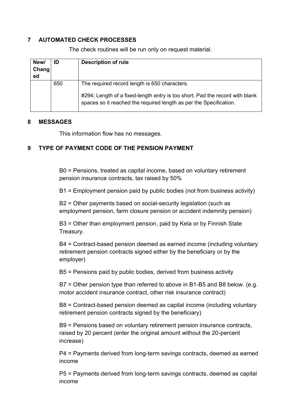### <span id="page-6-0"></span>**7 AUTOMATED CHECK PROCESSES**

| New/<br>Chang<br>ed | ID  | <b>Description of rule</b>                                                                                                                                                                          |
|---------------------|-----|-----------------------------------------------------------------------------------------------------------------------------------------------------------------------------------------------------|
|                     | 650 | The required record length is 650 characters.<br>#294; Length of a fixed-length entry is too short. Pad the record with blank<br>spaces so it reached the required length as per the Specification. |

The check routines will be run only on request material.

#### <span id="page-6-1"></span>**8 MESSAGES**

This information flow has no messages.

### <span id="page-6-2"></span>**9 TYPE OF PAYMENT CODE OF THE PENSION PAYMENT**

B0 = Pensions, treated as capital income, based on voluntary retirement pension insurance contracts, tax raised by 50%

B1 = Employment pension paid by public bodies (not from business activity)

B2 = Other payments based on social-security legislation (such as employment pension, farm closure pension or accident indemnity pension)

B3 = Other than employment pension, paid by Kela or by Finnish State Treasury.

B4 = Contract-based pension deemed as earned income (including voluntary retirement pension contracts signed either by the beneficiary or by the employer)

B5 = Pensions paid by public bodies, derived from business activity

B7 = Other pension type than referred to above in B1-B5 and B8 below. (e.g. motor accident insurance contract, other risk insurance contract)

B8 = Contract-based pension deemed as capital income (including voluntary retirement pension contracts signed by the beneficiary)

B9 = Pensions based on voluntary retirement pension insurance contracts, raised by 20 percent (enter the original amount without the 20-percent increase)

P4 = Payments derived from long-term savings contracts, deemed as earned income

P5 = Payments derived from long-term savings contracts, deemed as capital income